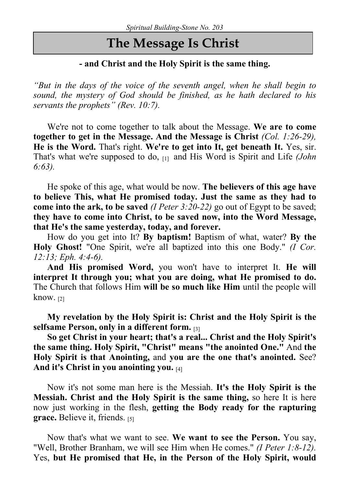## The Message Is Christ

## - and Christ and the Holy Spirit is the same thing.

"But in the days of the voice of the seventh angel, when he shall begin to sound, the mystery of God should be finished, as he hath declared to his servants the prophets" (Rev. 10:7).

We're not to come together to talk about the Message. We are to come together to get in the Message. And the Message is Christ (Col. 1:26-29), He is the Word. That's right. We're to get into It, get beneath It. Yes, sir. That's what we're supposed to do,  $\overline{111}$  and His Word is Spirit and Life (*John*) 6:63).

He spoke of this age, what would be now. The believers of this age have to believe This, what He promised today. Just the same as they had to come into the ark, to be saved (*I Peter 3:20-22*) go out of Egypt to be saved; they have to come into Christ, to be saved now, into the Word Message, that He's the same yesterday, today, and forever.

How do you get into It? By baptism! Baptism of what, water? By the Holy Ghost! "One Spirit, we're all baptized into this one Body." *(I Cor.* 12:13; Eph. 4:4-6).

And His promised Word, you won't have to interpret It. He will interpret It through you; what you are doing, what He promised to do. The Church that follows Him will be so much like Him until the people will know.<sub>[2]</sub>

My revelation by the Holy Spirit is: Christ and the Holy Spirit is the selfsame Person, only in a different form. [3]

So get Christ in your heart; that's a real... Christ and the Holy Spirit's the same thing. Holy Spirit, "Christ" means "the anointed One." And the Holy Spirit is that Anointing, and you are the one that's anointed. See? And it's Christ in you anointing you. [4]

Now it's not some man here is the Messiah. It's the Holy Spirit is the Messiah. Christ and the Holy Spirit is the same thing, so here It is here now just working in the flesh, getting the Body ready for the rapturing grace. Believe it, friends. [5]

Now that's what we want to see. We want to see the Person. You say, "Well, Brother Branham, we will see Him when He comes." *(I Peter 1:8-12)*. Yes, but He promised that He, in the Person of the Holy Spirit, would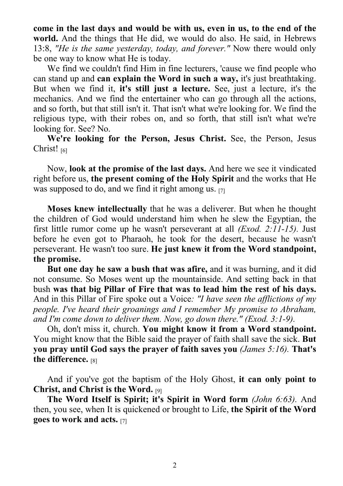come in the last days and would be with us, even in us, to the end of the world. And the things that He did, we would do also. He said, in Hebrews 13:8, "He is the same yesterday, today, and forever." Now there would only be one way to know what He is today.

We find we couldn't find Him in fine lecturers, 'cause we find people who can stand up and can explain the Word in such a way, it's just breathtaking. But when we find it, it's still just a lecture. See, just a lecture, it's the mechanics. And we find the entertainer who can go through all the actions, and so forth, but that still isn't it. That isn't what we're looking for. We find the religious type, with their robes on, and so forth, that still isn't what we're looking for. See? No.

We're looking for the Person, Jesus Christ. See, the Person, Jesus Christ! [6]

Now, look at the promise of the last days. And here we see it vindicated right before us, the present coming of the Holy Spirit and the works that He was supposed to do, and we find it right among us.  $[7]$ 

Moses knew intellectually that he was a deliverer. But when he thought the children of God would understand him when he slew the Egyptian, the first little rumor come up he wasn't perseverant at all  $(Exod. 2:11-15)$ . Just before he even got to Pharaoh, he took for the desert, because he wasn't perseverant. He wasn't too sure. He just knew it from the Word standpoint, the promise.

But one day he saw a bush that was afire, and it was burning, and it did not consume. So Moses went up the mountainside. And setting back in that bush was that big Pillar of Fire that was to lead him the rest of his days. And in this Pillar of Fire spoke out a Voice: "I have seen the afflictions of my people. I've heard their groanings and I remember My promise to Abraham, and I'm come down to deliver them. Now, go down there." (Exod. 3:1-9).

Oh, don't miss it, church. You might know it from a Word standpoint. You might know that the Bible said the prayer of faith shall save the sick. But you pray until God says the prayer of faith saves you (James 5:16). That's the difference. [8]

And if you've got the baptism of the Holy Ghost, it can only point to Christ, and Christ is the Word. [9]

The Word Itself is Spirit; it's Spirit in Word form (John 6:63). And then, you see, when It is quickened or brought to Life, the Spirit of the Word goes to work and acts. [7]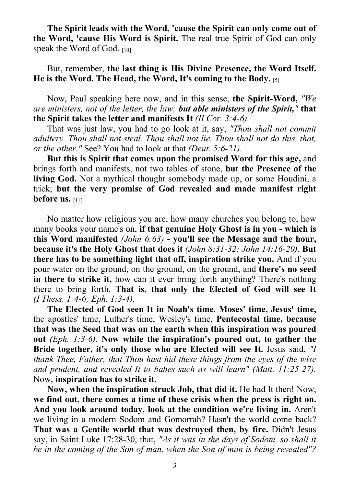The Spirit leads with the Word, 'cause the Spirit can only come out of the Word, 'cause His Word is Spirit. The real true Spirit of God can only speak the Word of God. [10]

But, remember, the last thing is His Divine Presence, the Word Itself. He is the Word. The Head, the Word, It's coming to the Body. [5]

Now, Paul speaking here now, and in this sense, the Spirit-Word, "We are ministers, not of the letter, the law; but able ministers of the Spirit," that the Spirit takes the letter and manifests It (II Cor. 3:4-6).

That was just law, you had to go look at it, say, "Thou shall not commit adultery. Thou shall not steal. Thou shall not lie. Thou shall not do this, that, or the other." See? You had to look at that (Deut. 5:6-21).

But this is Spirit that comes upon the promised Word for this age, and brings forth and manifests, not two tables of stone, but the Presence of the living God. Not a mythical thought somebody made up, or some Houdini, a trick; but the very promise of God revealed and made manifest right before us. [11]

No matter how religious you are, how many churches you belong to, how many books your name's on, if that genuine Holy Ghost is in you - which is this Word manifested  $(John\ 6:63)$  - you'll see the Message and the hour, because it's the Holy Ghost that does it (John 8:31-32; John 14:16-20). But there has to be something light that off, inspiration strike you. And if you pour water on the ground, on the ground, on the ground, and there's no seed in there to strike it, how can it ever bring forth anything? There's nothing there to bring forth. That is, that only the Elected of God will see It (I Thess. 1:4-6; Eph. 1:3-4).

The Elected of God seen It in Noah's time, Moses' time, Jesus' time, the apostles' time, Luther's time, Wesley's time, Pentecostal time, because that was the Seed that was on the earth when this inspiration was poured out  $(Eph. 1:3-6)$ . Now while the inspiration's poured out, to gather the Bride together, it's only those who are Elected will see It. Jesus said, "I thank Thee, Father, that Thou hast hid these things from the eyes of the wise and prudent, and revealed It to babes such as will learn" (Matt. 11:25-27). Now, inspiration has to strike it.

Now, when the inspiration struck Job, that did it. He had It then! Now, we find out, there comes a time of these crisis when the press is right on. And you look around today, look at the condition we're living in. Aren't we living in a modern Sodom and Gomorrah? Hasn't the world come back? That was a Gentile world that was destroyed then, by fire. Didn't Jesus say, in Saint Luke 17:28-30, that, "As it was in the days of Sodom, so shall it be in the coming of the Son of man, when the Son of man is being revealed"?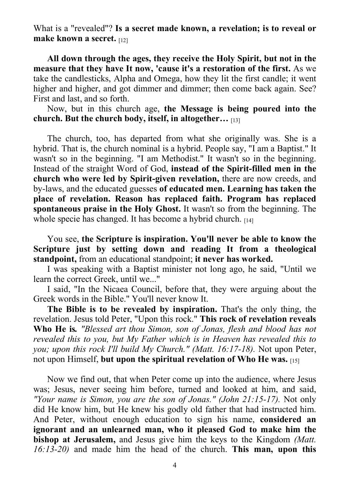What is a "revealed"? Is a secret made known, a revelation; is to reveal or make known a secret. [12]

All down through the ages, they receive the Holy Spirit, but not in the measure that they have It now, 'cause it's a restoration of the first. As we take the candlesticks, Alpha and Omega, how they lit the first candle; it went higher and higher, and got dimmer and dimmer; then come back again. See? First and last, and so forth.

Now, but in this church age, the Message is being poured into the church. But the church body, itself, in altogether… [13]

The church, too, has departed from what she originally was. She is a hybrid. That is, the church nominal is a hybrid. People say, "I am a Baptist." It wasn't so in the beginning. "I am Methodist." It wasn't so in the beginning. Instead of the straight Word of God, instead of the Spirit-filled men in the church who were led by Spirit-given revelation, there are now creeds, and by-laws, and the educated guesses of educated men. Learning has taken the place of revelation. Reason has replaced faith. Program has replaced spontaneous praise in the Holy Ghost. It wasn't so from the beginning. The whole specie has changed. It has become a hybrid church.  $[14]$ 

You see, the Scripture is inspiration. You'll never be able to know the Scripture just by setting down and reading It from a theological standpoint, from an educational standpoint; it never has worked.

I was speaking with a Baptist minister not long ago, he said, "Until we learn the correct Greek, until we..."

I said, "In the Nicaea Council, before that, they were arguing about the Greek words in the Bible." You'll never know It.

The Bible is to be revealed by inspiration. That's the only thing, the revelation. Jesus told Peter, "Upon this rock." This rock of revelation reveals Who He is. "Blessed art thou Simon, son of Jonas, flesh and blood has not revealed this to you, but My Father which is in Heaven has revealed this to you; upon this rock I'll build My Church." (Matt. 16:17-18). Not upon Peter, not upon Himself, but upon the spiritual revelation of Who He was.  $[15]$ 

Now we find out, that when Peter come up into the audience, where Jesus was; Jesus, never seeing him before, turned and looked at him, and said, "Your name is Simon, you are the son of Jonas." (John  $21:15-17$ ). Not only did He know him, but He knew his godly old father that had instructed him. And Peter, without enough education to sign his name, considered an ignorant and an unlearned man, who it pleased God to make him the bishop at Jerusalem, and Jesus give him the keys to the Kingdom *(Matt.*) 16:13-20) and made him the head of the church. This man, upon this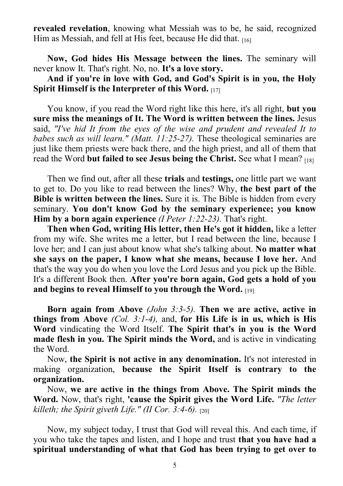revealed revelation, knowing what Messiah was to be, he said, recognized Him as Messiah, and fell at His feet, because He did that. [16]

Now, God hides His Message between the lines. The seminary will never know It. That's right. No, no. It's a love story.

And if you're in love with God, and God's Spirit is in you, the Holy Spirit Himself is the Interpreter of this Word. [17]

You know, if you read the Word right like this here, it's all right, but you sure miss the meanings of It. The Word is written between the lines. Jesus said, "I've hid It from the eyes of the wise and prudent and revealed It to babes such as will learn." (Matt. 11:25-27). These theological seminaries are just like them priests were back there, and the high priest, and all of them that read the Word but failed to see Jesus being the Christ. See what I mean? [18]

Then we find out, after all these trials and testings, one little part we want to get to. Do you like to read between the lines? Why, the best part of the Bible is written between the lines. Sure it is. The Bible is hidden from every seminary. You don't know God by the seminary experience; you know Him by a born again experience (*I Peter 1:22-23*). That's right.

Then when God, writing His letter, then He's got it hidden, like a letter from my wife. She writes me a letter, but I read between the line, because I love her; and I can just about know what she's talking about. No matter what she says on the paper, I know what she means, because I love her. And that's the way you do when you love the Lord Jesus and you pick up the Bible. It's a different Book then. After you're born again, God gets a hold of you and begins to reveal Himself to you through the Word.

Born again from Above  $(John 3:3-5)$ . Then we are active, active in things from Above  $(Col. 3:1-4)$ , and, for His Life is in us, which is His Word vindicating the Word Itself. The Spirit that's in you is the Word made flesh in you. The Spirit minds the Word, and is active in vindicating the Word.

Now, the Spirit is not active in any denomination. It's not interested in making organization, because the Spirit Itself is contrary to the organization.

Now, we are active in the things from Above. The Spirit minds the Word. Now, that's right, 'cause the Spirit gives the Word Life. "The letter killeth; the Spirit giveth Life." (II Cor.  $3:4-6$ ).  $_{[201]}$ 

Now, my subject today, I trust that God will reveal this. And each time, if you who take the tapes and listen, and I hope and trust that you have had a spiritual understanding of what that God has been trying to get over to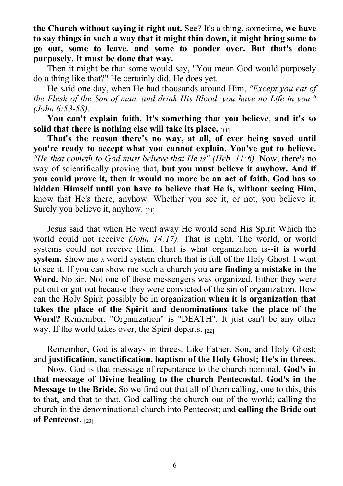the Church without saying it right out. See? It's a thing, sometime, we have to say things in such a way that it might thin down, it might bring some to go out, some to leave, and some to ponder over. But that's done purposely. It must be done that way.

Then it might be that some would say, "You mean God would purposely do a thing like that?" He certainly did. He does yet.

He said one day, when He had thousands around Him, "Except you eat of the Flesh of the Son of man, and drink His Blood, you have no Life in you." (John 6:53-58).

You can't explain faith. It's something that you believe, and it's so solid that there is nothing else will take its place.  $[11]$ 

That's the reason there's no way, at all, of ever being saved until you're ready to accept what you cannot explain. You've got to believe. "He that cometh to God must believe that He is" (Heb.  $11:6$ ). Now, there's no way of scientifically proving that, but you must believe it anyhow. And if you could prove it, then it would no more be an act of faith. God has so hidden Himself until you have to believe that He is, without seeing Him, know that He's there, anyhow. Whether you see it, or not, you believe it. Surely you believe it, anyhow. [21]

Jesus said that when He went away He would send His Spirit Which the world could not receive (John 14:17). That is right. The world, or world systems could not receive Him. That is what organization is--it is world system. Show me a world system church that is full of the Holy Ghost. I want to see it. If you can show me such a church you are finding a mistake in the Word. No sir. Not one of these messengers was organized. Either they were put out or got out because they were convicted of the sin of organization. How can the Holy Spirit possibly be in organization when it is organization that takes the place of the Spirit and denominations take the place of the Word? Remember, "Organization" is "DEATH". It just can't be any other way. If the world takes over, the Spirit departs. [22]

Remember, God is always in threes. Like Father, Son, and Holy Ghost; and justification, sanctification, baptism of the Holy Ghost; He's in threes.

Now, God is that message of repentance to the church nominal. God's in that message of Divine healing to the church Pentecostal. God's in the Message to the Bride. So we find out that all of them calling, one to this, this to that, and that to that. God calling the church out of the world; calling the church in the denominational church into Pentecost; and calling the Bride out of Pentecost. [23]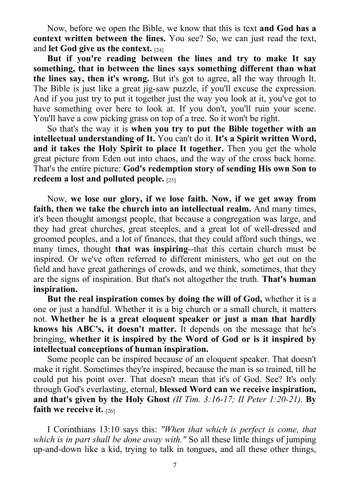Now, before we open the Bible, we know that this is text and God has a context written between the lines. You see? So, we can just read the text, and let God give us the context. [24]

But if you're reading between the lines and try to make It say something, that in between the lines says something different than what the lines say, then it's wrong. But it's got to agree, all the way through It. The Bible is just like a great jig-saw puzzle, if you'll excuse the expression. And if you just try to put it together just the way you look at it, you've got to have something over here to look at. If you don't, you'll ruin your scene. You'll have a cow picking grass on top of a tree. So it won't be right.

So that's the way it is when you try to put the Bible together with an intellectual understanding of It. You can't do it. It's a Spirit written Word, and it takes the Holy Spirit to place It together. Then you get the whole great picture from Eden out into chaos, and the way of the cross back home. That's the entire picture: God's redemption story of sending His own Son to redeem a lost and polluted people.  $[25]$ 

Now, we lose our glory, if we lose faith. Now, if we get away from faith, then we take the church into an intellectual realm. And many times, it's been thought amongst people, that because a congregation was large, and they had great churches, great steeples, and a great lot of well-dressed and groomed peoples, and a lot of finances, that they could afford such things, we many times, thought that was inspiring--that this certain church must be inspired. Or we've often referred to different ministers, who get out on the field and have great gatherings of crowds, and we think, sometimes, that they are the signs of inspiration. But that's not altogether the truth. That's human inspiration.

But the real inspiration comes by doing the will of God, whether it is a one or just a handful. Whether it is a big church or a small church, it matters not. Whether he is a great eloquent speaker or just a man that hardly knows his ABC's, it doesn't matter. It depends on the message that he's bringing, whether it is inspired by the Word of God or is it inspired by intellectual conceptions of human inspiration.

Some people can be inspired because of an eloquent speaker. That doesn't make it right. Sometimes they're inspired, because the man is so trained, till he could put his point over. That doesn't mean that it's of God. See? It's only through God's everlasting, eternal, blessed Word can we receive inspiration, and that's given by the Holy Ghost (II Tim.  $3:16-17$ ; II Peter 1:20-21). By faith we receive it.  $[26]$ 

I Corinthians 13:10 says this: "When that which is perfect is come, that which is in part shall be done away with." So all these little things of jumping up-and-down like a kid, trying to talk in tongues, and all these other things,